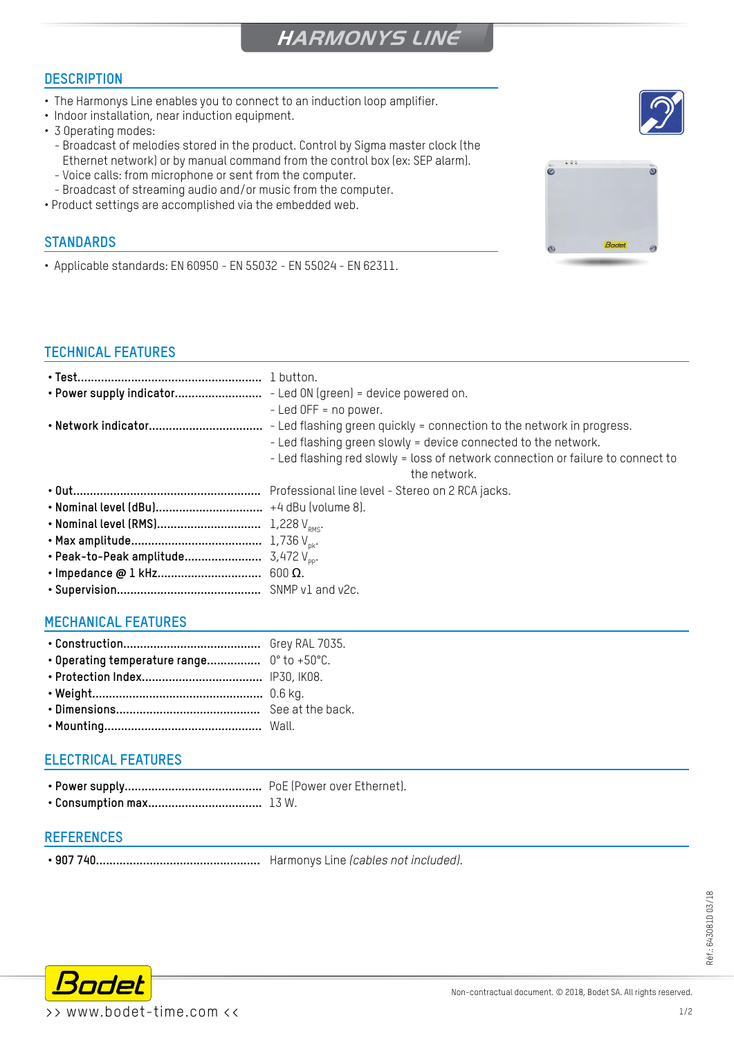# **HARMONYS LINE**

### **DESCRIPTION**

- The Harmonys Line enables you to connect to an induction loop amplifier.
- Indoor installation, near induction equipment.
- 3 Operating modes:
	- Broadcast of melodies stored in the product. Control by Sigma master clock (the Ethernet network) or by manual command from the control box (ex: SEP alarm).
	- Voice calls: from microphone or sent from the computer.
- Broadcast of streaming audio and/or music from the computer.
- Product settings are accomplished via the embedded web.

#### **STANDARDS**

• Applicable standards: EN 60950 - EN 55032 - EN 55024 - EN 62311.

#### **TECHNICAL FEATURES**

| $-$ Led OFF = no power.                                                         |
|---------------------------------------------------------------------------------|
|                                                                                 |
| - Led flashing green slowly = device connected to the network.                  |
| - Led flashing red slowly = loss of network connection or failure to connect to |
| the network.                                                                    |
|                                                                                 |
|                                                                                 |
|                                                                                 |
|                                                                                 |
|                                                                                 |
|                                                                                 |
|                                                                                 |

#### **MECHANICAL FEATURES**

| • Operating temperature range $0^{\circ}$ to +50 $^{\circ}$ C. |  |
|----------------------------------------------------------------|--|
|                                                                |  |
|                                                                |  |
|                                                                |  |
|                                                                |  |

#### **ELECTRICAL FEATURES**

- **• Power supply.........................................** PoE (Power over Ethernet).
- **• Consumption max..................................** 13 W.

#### **REfErences**

**• 907 740.................................................** Harmonys Line *(cables not included)*.